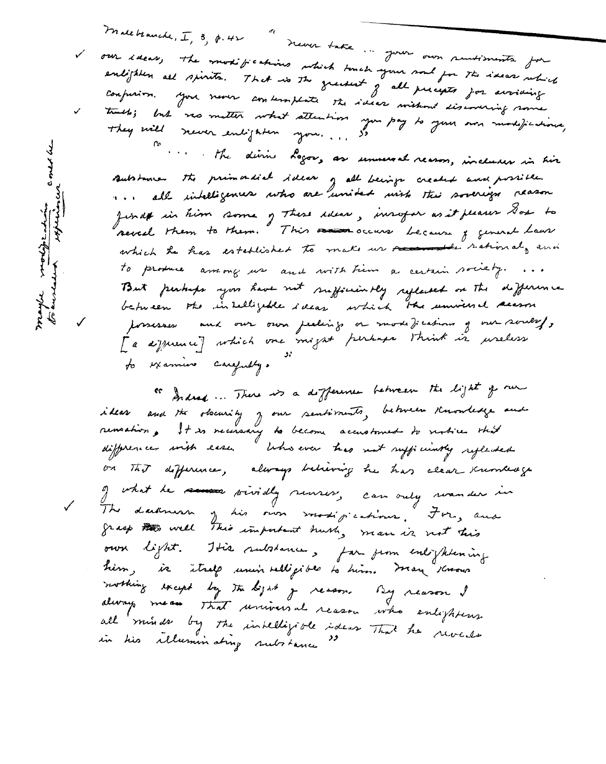Malebranche, I, 3, p. 42 "never take... Jour our rentiments for our ideas, the modifications which touch your soul for the ideas which enlighten all spirits. That is the greatest of all precepts for avoiding confusion. You never contemplate the ideas without discovering some. trach; but was matter what attention you pay to your own modifications,<br>They will viewer enlighten you..., 50

. The divine Logor, as unnecoal reason, incluses in his Butstanian the primardial ideas of all beings created and possible.<br>11.1 all intelligences who are unided usish this soverign reason finds in him some of these ideas, insofar as it pleaser Dos to several them to them. This receive because of general hour which he has established to make us recommender sational, and to produce aniony use and with time a certain society. ... But perhaps you have not sufficiently reflected on the difference possesses and our own pealings or mode ); cations of our soulesfy [a defficience] which one might perhaps think is useless to examine carefully.

" Indeed ... There is a difference between the light of our ideas and the obscurity y our sentiments, between Knowledge and on This difference, always believing he has clear scrembedge of what he seems prividly reusers, can only revender in The darkness of his own sometigications. For, and own light. This substance, for from enlightening him, is itself unin relligible to him. Man knows mothing except by the bijet of reason. By reason I always mean that universal reason who enlightens all minds by the inhelligible ideas That he reveals<br>in his illuminating substance "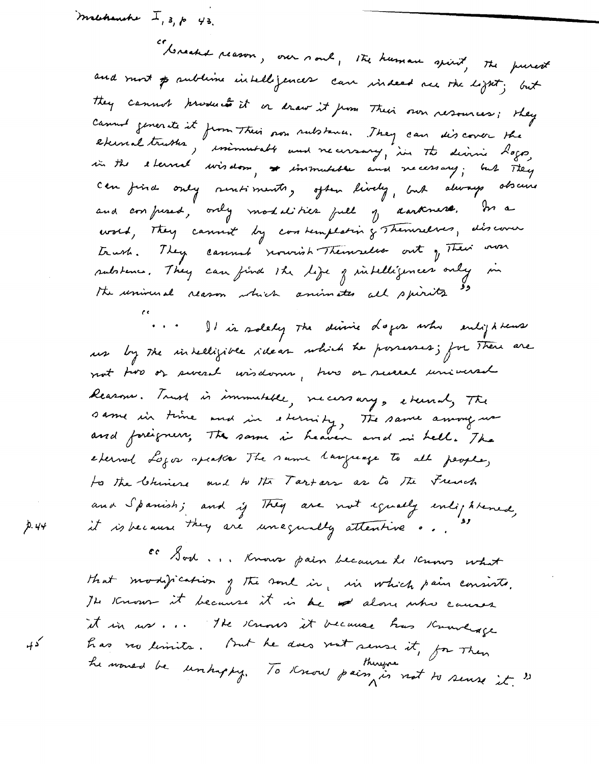machanche  $I, s, p$  43. "breaks reason, our soul, the human spirit, the purest and most p sublime intelligences can indeed me the light; but they cannot produce it or draw it from Their own resources; they Cannot generate it from Their son substance. They can discover the can find only rentiments, often lively, but always obscure and confused, only modalities full of darkness. In a word, They cannot by can remplating Themselves, also cover trush. They cannot rowish Themselves out of Their own substance. They can find the life of intelligences only in the universal reason which animates all spirits so

It is solety the divine dopes who enlightens us by the intelligible ideas which he possesses; for there are not two or swead wisdoms, two or suced universal Reasons. Trust is immulable, necessary, etcend, The same in time and in sternity, The same among use eterned Logos speaks The same language to all people, to the Chinese and to the Tartars as to the French and Spanish; and if They are not equally enlightened, it is because they are unequally attentive ...

CC Sod ... Knows pain because he knows what that modification of the soul in, in which pain consists. The Known it because it is be alone who causes it in us ... The knows it because has Knowlage has no limits. But he does not sense it, for Then he would be unhappy. To Know pain is not to sense it. "

Р. 44

که ب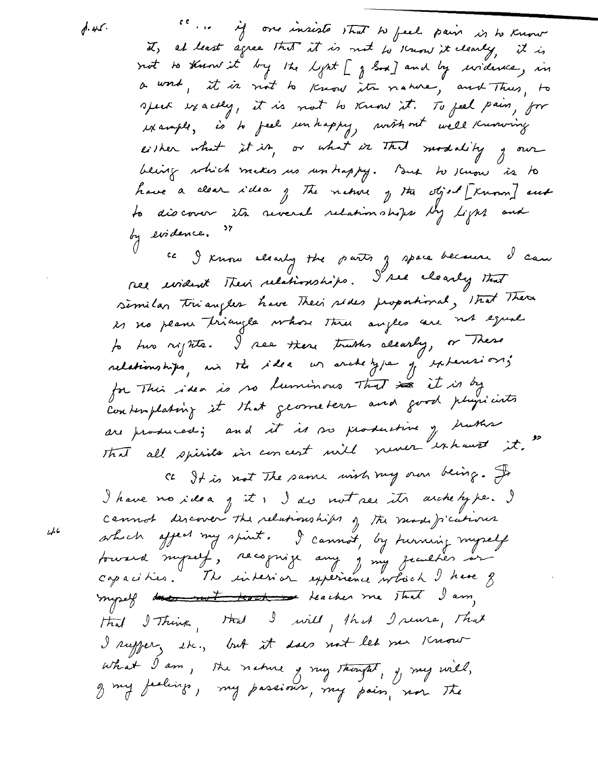$0.45$ 

" " is in insiste that to feel pair is to know not to know it by the light [ g Sod ] and by widersee, in a word, it is not to know its nature, and Thus, to speak exactly, it is not to know it. To feel pain, for either what it is, or what is that modality , our being which makes us un trappy. But to scuow is to have a clear idea of the nature of the object [Known] and to discover its several relationships by light and by evidence. cc I know alcosty the parts g space because I can ree undent Their relationships. I see cleanly that similar triangles have Their sides proportional, that There is no plane triangle whose three angles are not equal. to two rights. I see there truths alcarly, or These relationships, un the idea us archetype of experiences for This idea is no luminous that is it is by

are produced; and it is so productive of huther that all spirits in concert will never exhaust it."

ce It is not The same wish my own being. It I have no idea j it! I dis not see its archeby pe. I cannot discover the relationships of the mode fications which affect my spirit. I cannot, by turning myself fourard myself, recognize any , my jeculter or myself dans not teach the me That I am, Had I Think, Had I will, that I reuse, That I suggery the, but it does not let me know what I am, the nature , my thought, , my will, of my feelings, my passious, my pain, nor The

 $46$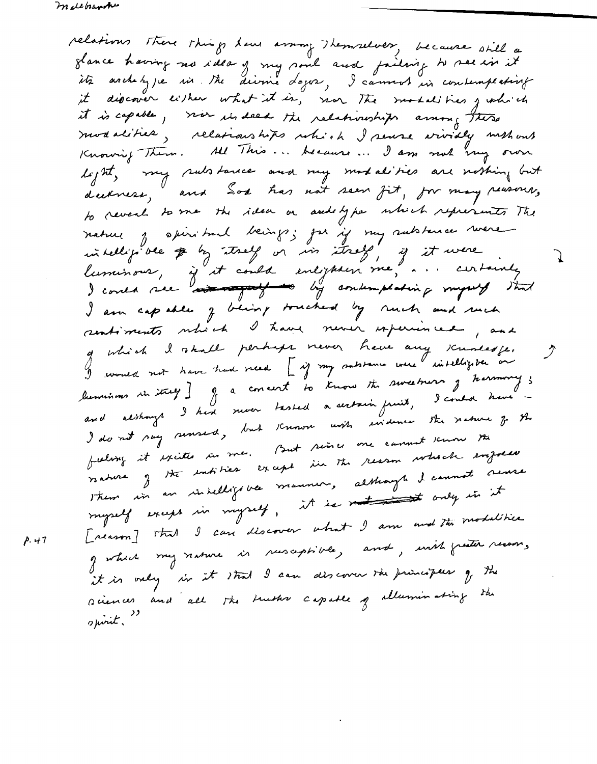relations there things have arring themselves, because still a glance having no idea of my soul and failing to see in it it discover either what it is, nor The modalities growing it is capable, were in deed the relationships among these<br>modalities, relationships which I serve vividly methods<br>Knowing Them. All This ... because ... I am not very own light, my rulstance and my modalities are nothing but to reveal to me the idea or and type which represents The nature y spiritual beings; for if my subtance were intelligible # by they is in they, if it were luminous, is it could enlighten me, ... certainly<br>I could nee and the by contemplating myself that I am capable of being touched by ruch and ruch sentiments which I have never experienced, and g which I skall perhaps never have any scumeage. luminus in itself ] of a concert to know the sweetness of harmony; and although I had never tasted a sectain fruit, I could have -I do not say sensed, but Known with suidence the nature of the feeling it excites in me. But since one cannot know the reasons of the endities except in the reason which emporer Them in an intelligible manner, although it cannot serve myself except in myself, it is not with only in it [reason] that I can discover what I am and the modelities of which my nature in resceptible, and, with freater recoons it is only in it that I can discover the principees of the sciences and all the truths capable of alluminating the spirit."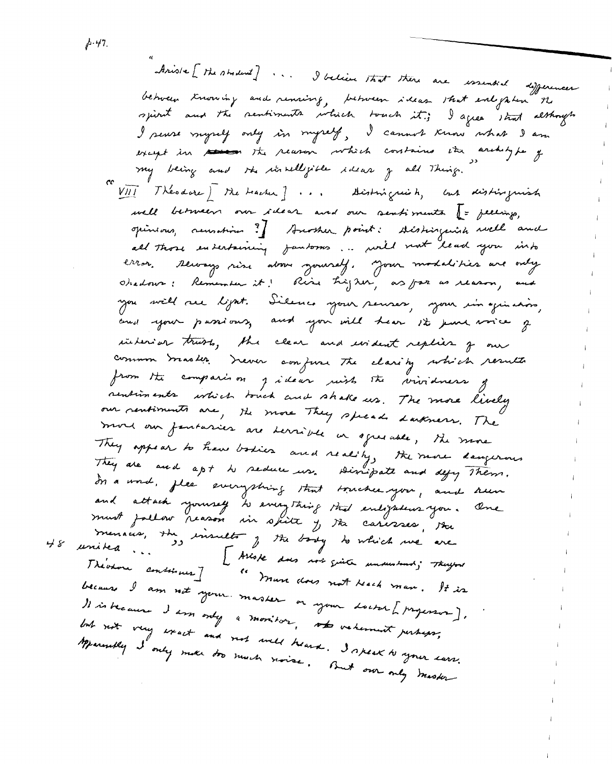Ariste [ the stadent ] ... I believe that there are issuential differences between treating and rensing, between ideas that enlighten the spirit and the sentiments which touch it; I agree strat although I seuse myself only in myself, I cannot know what I am except in messen the reason which contains the architype of<br>my being and the invilligible ideas of all thing." VIII Théodore) the beacher ] ... Acistoriques h, but distinguish well between our idear and our sentiments (= peeings, opinious, remation ? Surther point: stirtinguish well and all those entertaining jantoms... will not lead you into error. Reways rise about syourself, your modalities are only.<br>Oradour: Remember it! Rise higher, as far as reason, and you will rue lijat. Silence your seuses, your i'm equivains, and your passions, and you will hear 12 june voice g interior trusts, the clear and irritant replies of our common tracter. Trever confuse the classity which results from the comparison givear wish the vividness of rentiments which touch and shake us. The more lively our rentiments are, the more They speech Larkners. The more our fantasies are serrible in agreeable, the more They appear to have bodies and reality, the more daugerous They are and apt to seduce us. Dissipate and defy Them. In a word, flee everything that trucker you, and run and attach yourself to everything that enlightens you. One must joilour reason in spite y the caresses, the menaces, the insults of the boody to which we are<br>united ... I Alloke does not guite unauntant; Theyne<br>I revenue continues] . I Muse does not beech man. It is because I am not your master or your doctor [properson]. It is because I am only a monitor, who valument perhaps, but not very exact and not well heard. I speak to your surr.<br>Manually I only mule too much noise. But our only master

,ի. 47.